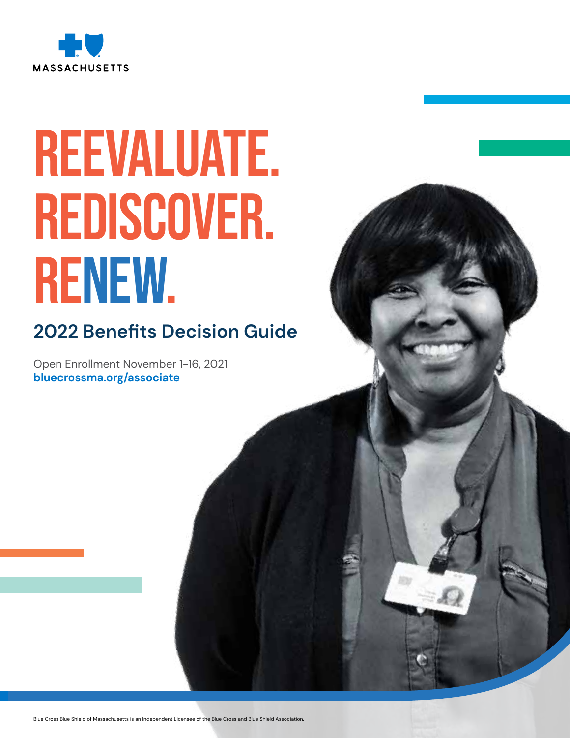

# REEVALUATE. REDISCOVER. RENEW.

# **2022 Benefits Decision Guide**

Open Enrollment November 1-16, 2021 **[bluecrossma.org/associate](http://bluecrossma.org/associate)**

Blue Cross Blue Shield of Massachusetts is an Independent Licensee of the Blue Cross and Blue Shield Association.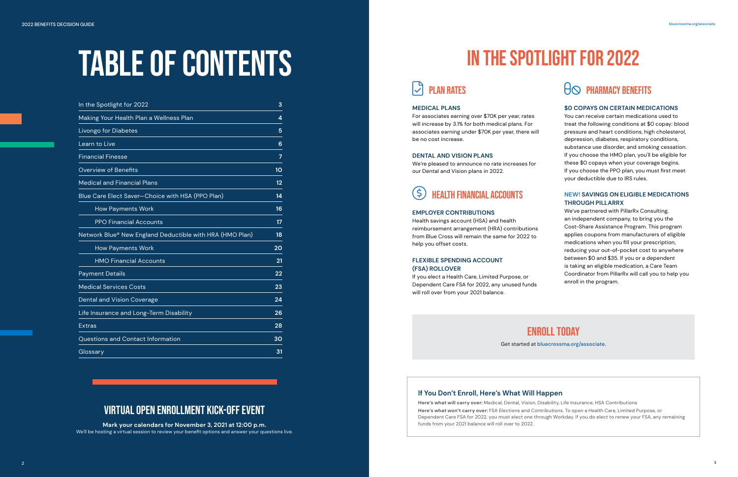| In the Spotlight for 2022                                | 3  |
|----------------------------------------------------------|----|
| Making Your Health Plan a Wellness Plan                  | 4  |
| Livongo for Diabetes                                     | 5  |
| Learn to Live                                            | 6  |
| <b>Financial Finesse</b>                                 | 7  |
| <b>Overview of Benefits</b>                              | 10 |
| <b>Medical and Financial Plans</b>                       | 12 |
| Blue Care Elect Saver-Choice with HSA (PPO Plan)         | 14 |
| <b>How Payments Work</b>                                 | 16 |
| <b>PPO Financial Accounts</b>                            | 17 |
| Network Blue® New England Deductible with HRA (HMO Plan) | 18 |
| <b>How Payments Work</b>                                 | 20 |
| <b>HMO Financial Accounts</b>                            | 21 |
| <b>Payment Details</b>                                   | 22 |
| <b>Medical Services Costs</b>                            | 23 |
| <b>Dental and Vision Coverage</b>                        | 24 |
| Life Insurance and Long-Term Disability                  | 26 |
| <b>Extras</b>                                            | 28 |
| Questions and Contact Information                        | 30 |
| Glossary                                                 | 31 |
|                                                          |    |

# TABLE OF CONTENTS

# IN THE SPOTLIGHT FOR 2022

# $|\mathcal{J}|$  plan rates

## **MEDICAL PLANS**

For associates earning over \$70K per year, rates will increase by 3.1% for both medical plans. For associates earning under \$70K per year, there will be no cost increase.

# **DENTAL AND VISION PLANS**

We're pleased to announce no rate increases for our Dental and Vision plans in 2022.

# **HEALTH FINANCIAL ACCOUNTS**

# **EMPLOYER CONTRIBUTIONS**

Health savings account (HSA) and health reimbursement arrangement (HRA) contributions from Blue Cross will remain the same for 2022 to help you offset costs.

# **FLEXIBLE SPENDING ACCOUNT (FSA) ROLLOVER**

If you elect a Health Care, Limited Purpose, or Dependent Care FSA for 2022, any unused funds will roll over from your 2021 balance.

## **\$0 COPAYS ON CERTAIN MEDICATIONS**

You can receive certain medications used to treat the following conditions at \$0 copay: blood pressure and heart conditions, high cholesterol, depression, diabetes, respiratory conditions, substance use disorder, and smoking cessation. If you choose the HMO plan, you'll be eligible for these \$0 copays when your coverage begins. If you choose the PPO plan, you must first meet your deductible due to IRS rules.

# **NEW! SAVINGS ON ELIGIBLE MEDICATIONS THROUGH PILLARRX**

We've partnered with PillarRx Consulting, an independent company, to bring you the Cost-Share Assistance Program. This program applies coupons from manufacturers of eligible medications when you fill your prescription, reducing your out-of-pocket cost to anywhere between \$0 and \$35. If you or a dependent is taking an eligible medication, a Care Team Coordinator from PillarRx will call you to help you enroll in the program.

Enroll Today **Get started at [bluecrossma.org/associate](http://bluecrossma.org/associate).**

# Virtual Open Enrollment Kick-Off Event

**Mark your calendars for November 3, 2021 at 12:00 p.m.** We'll be hosting a virtual session to review your benefit options and answer your questions live.

# **If You Don't Enroll, Here's What Will Happen**

**Here's what will carry over:** Medical, Dental, Vision, Disability, Life Insurance, HSA Contributions **Here's what won't carry over:** FSA Elections and Contributions. To open a Health Care, Limited Purpose, or Dependent Care FSA for 2022, you must elect one through Workday. If you do elect to renew your FSA, any remaining funds from your 2021 balance will roll over to 2022.

# $\Theta$  PHARMACY BENEFITS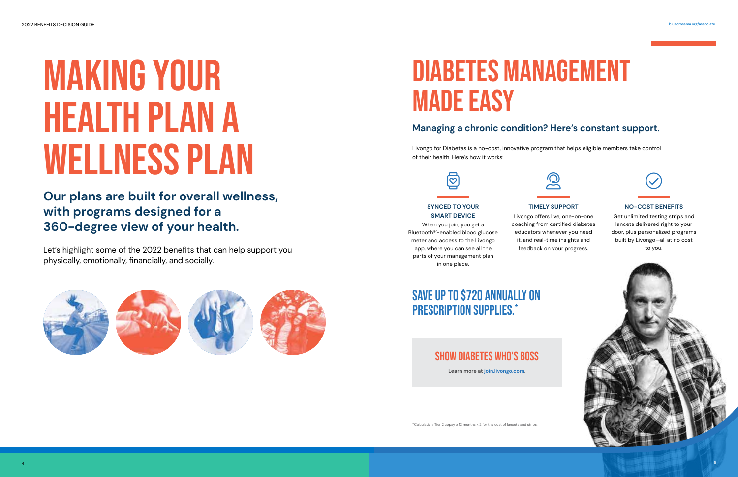# <span id="page-2-0"></span>Making Your Health Plan a Wellness Plan

**Our plans are built for overall wellness, with programs designed for a 360-degree view of your health.**

# DIABETES MANAGEMENT Made Easy

Let's highlight some of the 2022 benefits that can help support you physically, emotionally, financially, and socially.









# **Managing a chronic condition? Here's constant support.**

Livongo for Diabetes is a no-cost, innovative program that helps eligible members take control of their health. Here's how it works:

# SAVE UP TO \$720 ANNUALLY ON PRESCRIPTION SUPPLIES.\*



SHOW DIABETES WHO'S BOSS

# **SYNCED TO YOUR SMART DEVICE**

When you join, you get a Bluetooth®´-enabled blood glucose meter and access to the Livongo app, where you can see all the parts of your management plan in one place.



# **TIMELY SUPPORT**

Livongo offers live, one-on-one coaching from certified diabetes educators whenever you need it, and real-time insights and feedback on your progress.



# **NO-COST BENEFITS**

Get unlimited testing strips and lancets delivered right to your door, plus personalized programs built by Livongo—all at no cost to you.



**Learn more at [join.livongo.com.](http://join.livongo.com)**

\*Calculation: Tier 2 copay x 12 months x 2 for the cost of lancets and strips.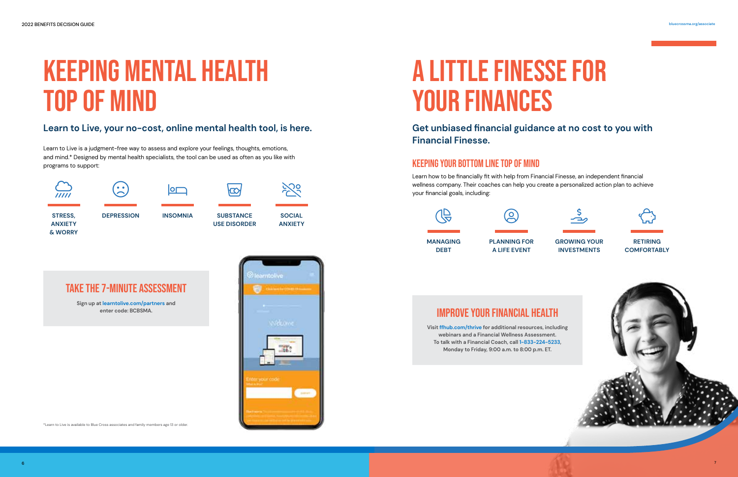# <span id="page-3-0"></span>Keeping Mental Health Top of Mind

# **Learn to Live, your no-cost, online mental health tool, is here.**

Learn to Live is a judgment-free way to assess and explore your feelings, thoughts, emotions, and mind.\* Designed by mental health specialists, the tool can be used as often as you like with programs to support:

# A Little Finesse for YOUR FINANCES



#### \*Learn to Live is available to Blue Cross associates and family members age 13 or older.

**Get unbiased financial guidance at no cost to you with Financial Finesse.**

# KEEPING YOUR BOTTOM LINE TOP OF MIND

Learn how to be financially fit with help from Financial Finesse, an independent financial wellness company. Their coaches can help you create a personalized action plan to achieve your financial goals, including:





# **GROWING YOUR INVESTMENTS**



**RETIRING COMFORTABLY**



# Improve Your Financial Health

**Visit [ffhub.com/thrive](http://ffhub.com/thrive) for additional resources, including webinars and a Financial Wellness Assessment. To talk with a Financial Coach, call 1-833-224-5233, Monday to Friday, 9:00 a.m. to 8:00 p.m. ET.**

# Take the 7-minute assessment

**Sign up at [learntolive.com/partners](http://learntolive.com/partners) and enter code: BCBSMA.**

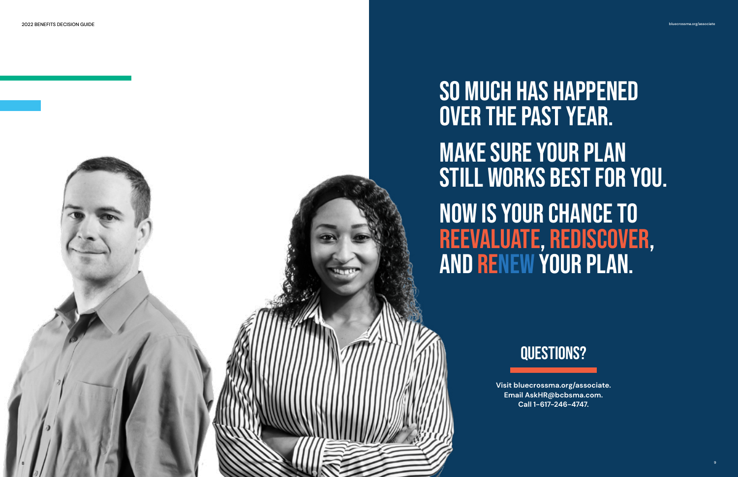# QUESTIONS?

**Visit [bluecrossma.org/associate.](http://bluecrossma.org/associate) Email [AskHR@bcbsma.com](mailto:AskHR%40bcbsma.com?subject=). Call 1-617-246-4747.**

# So much has happened over the past year. Make sure your plan still works best for you. Now Is your chance to reevaluate, rediscover, and renew your plan.

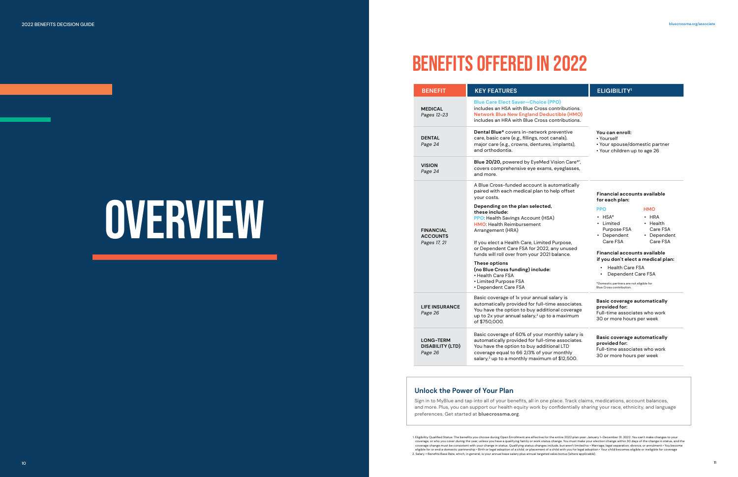# BENEFITS OFFERED IN 2022

# OVERVIEW

**You can enroll:** • Yourself

| <b>BENEFIT</b>                                         | <b>KEY FEATURES</b>                                                                                                                                                                              |
|--------------------------------------------------------|--------------------------------------------------------------------------------------------------------------------------------------------------------------------------------------------------|
| <b>MEDICAL</b><br>Pages 12-23                          | <b>Blue Care Elect Saver-Choice (I</b><br>includes an HSA with Blue Cross o<br><b>Network Blue New England Dedt</b><br>includes an HRA with Blue Cross o                                         |
| <b>DENTAL</b><br>Page 24                               | Dental Blue® covers in-network p<br>care, basic care (e.g., fillings, root<br>major care (e.g., crowns, dentures<br>and orthodontia.                                                             |
| <b>VISION</b><br>Page 24                               | <b>Blue 20/20, powered by EyeMed</b><br>covers comprehensive eye exams<br>and more.                                                                                                              |
| <b>FINANCIAL</b><br><b>ACCOUNTS</b><br>Pages 17, 21    | A Blue Cross-funded account is a<br>paired with each medical plan to<br>your costs.                                                                                                              |
|                                                        | Depending on the plan selected<br>these include:<br>PPO: Health Savings Account (HS,<br><b>HMO:</b> Health Reimbursement<br>Arrangement (HRA)<br>If you elect a Health Care, Limited             |
|                                                        | or Dependent Care FSA for 2022,<br>funds will roll over from your 2021                                                                                                                           |
|                                                        | These options<br>(no Blue Cross funding) include:<br>• Health Care FSA<br>• Limited Purpose FSA<br>• Dependent Care FSA                                                                          |
| <b>LIFE INSURANCE</b><br>Page 26                       | Basic coverage of 1x your annual s<br>automatically provided for full-tir<br>You have the option to buy additi<br>up to 2x your annual salary, <sup>2</sup> up to<br>of \$750,000.               |
| <b>LONG-TERM</b><br><b>DISABILITY (LTD)</b><br>Page 26 | Basic coverage of 60% of your mo<br>automatically provided for full-tir<br>You have the option to buy additi<br>coverage equal to 66 2/3% of you<br>salary, <sup>2</sup> up to a monthly maximum |
|                                                        |                                                                                                                                                                                                  |

# **PPO** • HSA\*

- Limited Purpose FSA • Dependent
- Care FSA

• HRA • Health Care FSA • Dependent Care FSA

#### **Basic coverage automatically provided for:**

Full-time associates who work 30 or more hours per week

- Your spouse/domestic partner
- Your children up to age 26
- **HMO Financial accounts available for each plan:**

**Basic coverage automatically provided for:** Full-time associates who work 30 or more hours per week

1. Eligibility Qualified Status: The benefits you choose during Open Enrollment are effective for the entire 2022 plan year: January 1–December 31, 2022. You can't make changes to your coverage, or who you cover during the year, unless you have a qualifying family or work status change. You must make your election change within 30 days of the change in status, and the<br>coverage change must be consistent w eligible for or end a domestic partnership • Birth or legal adoption of a child, or placement of a child with you for legal adoption • Your child becomes eligible or ineligible for coverage 2. Salary = Benefits Base Rate, which, in general, is your annual base salary plus annual targeted sales bonus (where applicable).

# $ELIGIBILITY<sup>1</sup>$

ble (PPO) ss contributions. **Aductible (HMO)** ss contributions.

**rk** preventive oot canals), ures, implants),

**Bed Vision Care®'**, ams, eyeglasses,

is automatically to help offset

#### ted,

**HSA**)

ited Purpose, 22, any unused 021 balance.

al salary is l-time associates. ditional coverage p to a maximum

monthly salary is -time associates. ditional LTD your monthly num of \$12,500.

<span id="page-5-0"></span>2022 BENEFITS DECISION GUIDE [bluecrossma.org/associate](http://bluecrossma.org/associate)

# **Unlock the Power of Your Plan**

Sign in to MyBlue and tap into all of your benefits, all in one place. Track claims, medications, account balances, and more. Plus, you can support our health equity work by confidentially sharing your race, ethnicity, and language preferences. Get started at **[bluecrossma.org](http://bluecrossma.org)**.

## **Financial accounts available if you don't elect a medical plan:**

- Health Care FSA
- Dependent Care FSA

\*Domestic partners are not eligible for Blue Cross contribution.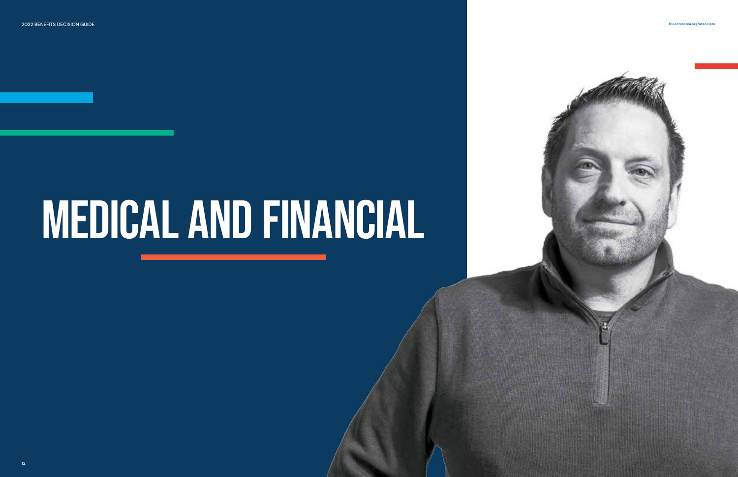<span id="page-6-0"></span>2022 BENEFITS DECISION GUIDE [bluecrossma.org/associate](http://bluecrossma.org/associate)

# MEDICAL AND FINANCIAL

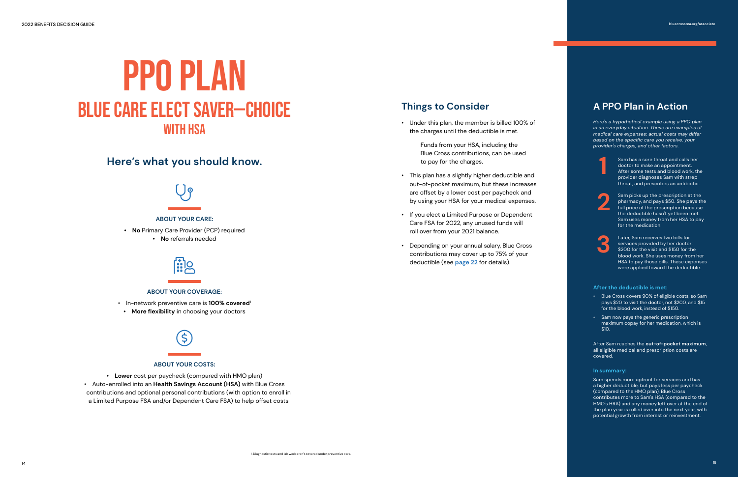# <span id="page-7-0"></span>PPO PLAN BLUE CARE ELECT SAVER—CHOICE WITH HSA

# **Here's what you should know.**



**1** Sam has a sore throat and calls her doctor to make an appointment. After some tests and blood work, the provider diagnoses Sam with strep throat, and prescribes an antibiotic.

Sam picks up the prescription at the pharmacy, and pays \$50. She pays the full price of the prescription because the deductible hasn't yet been met. Sam uses money from her HSA to pay for the medication.

Later, Sam receives two bills for services provided by her doctor: \$200 for the visit and \$150 for the blood work. She uses money from her HSA to pay those bills. These expenses were applied toward the deductible.

#### **After the deductible is met:**

- Blue Cross covers 90% of eligible costs, so Sam pays \$20 to visit the doctor, not \$200, and \$15 for the blood work, instead of \$150.
- Sam now pays the generic prescription maximum copay for her medication, which is \$10.

After Sam reaches the **out-of-pocket maximum**, all eligible medical and prescription costs are covered.

#### **In summary:**

Sam spends more upfront for services and has a higher deductible, but pays less per paycheck (compared to the HMO plan). Blue Cross contributes more to Sam's HSA (compared to the HMO's HRA) and any money left over at the end of the plan year is rolled over into the next year, with potential growth from interest or reinvestment.

*Here's a hypothetical example using a PPO plan in an everyday situation. These are examples of medical care expenses; actual costs may differ based on the specific care you receive, your provider's charges, and other factors.*



# **A PPO Plan in Action**



- Under this plan, the member is billed 100% of the charges until the deductible is met.
	- Funds from your HSA, including the Blue Cross contributions, can be used to pay for the charges.
- This plan has a slightly higher deductible and out-of-pocket maximum, but these increases are offset by a lower cost per paycheck and by using your HSA for your medical expenses.
- If you elect a Limited Purpose or Dependent Care FSA for 2022, any unused funds will roll over from your 2021 balance.
- Depending on your annual salary, Blue Cross contributions may cover up to 75% of your deductible (see **[page 22](#page-11-0)** for details).

# **Things to Consider**



### **ABOUT YOUR CARE:**

- **• No** Primary Care Provider (PCP) required
	- **• No** referrals needed



### **ABOUT YOUR COVERAGE:**

- In-network preventive care is **100% covered<sup>1</sup>**
- **• More flexibility** in choosing your doctors



### **ABOUT YOUR COSTS:**

**• Lower** cost per paycheck (compared with HMO plan) • Auto-enrolled into an **Health Savings Account (HSA)** with Blue Cross contributions and optional personal contributions (with option to enroll in a Limited Purpose FSA and/or Dependent Care FSA) to help offset costs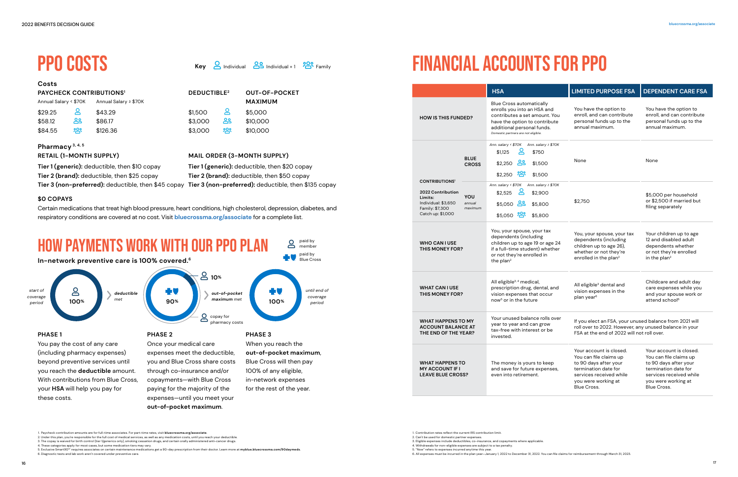# **\$0 COPAYS**

## **Costs PAYCHECK CONTRIBUTIONS<sup>1</sup> DEDUCTIBLE<sup>2</sup> OUT-OF-POCKET**

Certain medications that treat high blood pressure, heart conditions, high cholesterol, depression, diabetes, and respiratory conditions are covered at no cost. Visit **[bluecrossma.org/associate](http://bluecrossma.org/associate)** for a complete list.

\$126.36

\$84.55

\$5,000 \$10,000 \$10,000

# **Pharmacy 3, 4, 5**

**MAXIMUM**

**Key Q** Individual **89** Individual +1 **29** Family

## **RETAIL (1-MONTH SUPPLY)**

200

# <span id="page-8-0"></span>PPO COSTS



**Tier 1 (generic):** deductible, then \$10 copay **Tier 2 (brand):** deductible, then \$25 copay **Tier 3 (non-preferred):** deductible, then \$45 copay **Tier 3 (non-preferred):** deductible, then \$135 copay

| <b>PHASE 2</b>                 |
|--------------------------------|
| Once your medical care         |
| expenses meet the deductible,  |
| you and Blue Cross share costs |
| through co-insurance and/or    |
| copayments-with Blue Cross     |
| paying for the majority of the |
| expenses-until you meet your   |
| out-of-pocket maximum.         |

beyond preventive services until you reach the **deductible** amount. With contributions from Blue Cross, your **HSA** will help you pay for these costs.

Blue Cross will then pay 100% of any eligible, in-network expenses for the rest of the year.

\$1,500 \$3,000 \$3,000

**Tier 1 (generic):** deductible, then \$20 copay **Tier 2 (brand):** deductible, then \$50 copay

**DEDUCTIBLE<sup>2</sup>**

**MAIL ORDER (3-MONTH SUPPLY)**

≗ து **200** 

1. Paycheck contribution amounts are for full-time associates. For part-time rates, visit **[bluecrossma.org/associate](http://bluecrossma.org/associate)**.

2. Under this plan, you're responsible for the full cost of medical services, as well as any medication costs, until you reach your deductible. 3. The copay is waived for birth control (tier 1/generics only), smoking cessation drugs, and certain orally administered anti-cancer drugs.

4. These categories apply for most cases, but some medication tiers may vary.

5. Exclusive Smart90®' requires associates on certain maintenance medications get a 90-day prescription from their doctor. Learn more at **[myblue.bluecrossma.com/90daymeds](http://myblue.bluecrossma.com/90daymeds)**. 6. Diagnostic tests and lab work aren't covered under preventive care.

# FINANCIAL ACCOUNTS FOR PPO

| Annual Salary < \$70K |     | Annual Salary ≥ \$70K |
|-----------------------|-----|-----------------------|
| \$29.25               | ്ട  | \$43.29               |
| \$58.12               | ക്ട | \$86.17               |

|                                                                                                                                                                                                                                    | <b>HSA</b>                                                                                                                                                                                            | <b>LIMITED PURPOSE FSA</b>                                                                                                                                                 | <b>DEPENDENT CARE FSA</b>                                                                                                                                           |
|------------------------------------------------------------------------------------------------------------------------------------------------------------------------------------------------------------------------------------|-------------------------------------------------------------------------------------------------------------------------------------------------------------------------------------------------------|----------------------------------------------------------------------------------------------------------------------------------------------------------------------------|---------------------------------------------------------------------------------------------------------------------------------------------------------------------|
| <b>HOW IS THIS FUNDED?</b>                                                                                                                                                                                                         | <b>Blue Cross automatically</b><br>enrolls you into an HSA and<br>contributes a set amount. You<br>have the option to contribute<br>additional personal funds.<br>Domestic partners are not eligible. | You have the option to<br>enroll, and can contribute<br>personal funds up to the<br>annual maximum.                                                                        | You have the option to<br>enroll, and can contribute<br>personal funds up to the<br>annual maximum.                                                                 |
| <b>BLUE</b><br><b>CONTRIBUTIONS<sup>1</sup></b>                                                                                                                                                                                    | Ann. salary < \$70K Ann. salary ≥ \$70K<br>Զ<br>\$1.125<br>\$750<br>$$2,250$ $89$<br>\$1,500<br><b>CROSS</b><br>\$2,250 28<br>\$1,500                                                                 | None                                                                                                                                                                       | None                                                                                                                                                                |
| 2022 Contribution<br>YOU<br>Limits:<br>Individual: \$3,650<br>annual<br>Family: \$7,300<br>Catch up: \$1,000                                                                                                                       | Ann. salary < \$70K<br>Ann. salary ≥ \$70K<br>\$2,525<br>\$2,900<br>\$5,050 89<br>\$5,800<br>maximum<br>\$5,050 28<br>\$5,800                                                                         | \$2,750                                                                                                                                                                    | \$5,000 per household<br>or \$2,500 if married but<br>filing separately                                                                                             |
| You, your spouse, your tax<br>dependents (including<br>children up to age 19 or age 24<br><b>WHO CAN I USE</b><br>if a full-time student) whether<br><b>THIS MONEY FOR?</b><br>or not they're enrolled in<br>the plan <sup>2</sup> |                                                                                                                                                                                                       | You, your spouse, your tax<br>dependents (including<br>children up to age 26),<br>whether or not they're<br>enrolled in the plan <sup>2</sup>                              | Your children up to age<br>12 and disabled adult<br>dependents whether<br>or not they're enrolled<br>in the plan <sup>2</sup>                                       |
| <b>WHAT CAN I USE</b><br><b>THIS MONEY FOR?</b>                                                                                                                                                                                    | All eligible <sup>3, 4</sup> medical,<br>prescription drug, dental, and<br>vision expenses that occur<br>now <sup>5</sup> or in the future                                                            | All eligible <sup>3</sup> dental and<br>vision expenses in the<br>plan year <sup>6</sup>                                                                                   | Childcare and adult day<br>care expenses while you<br>and your spouse work or<br>attend school <sup>6</sup>                                                         |
| Your unused balance rolls over<br><b>WHAT HAPPENS TO MY</b><br>year to year and can grow<br><b>ACCOUNT BALANCE AT</b><br>tax-free with interest or be<br>THE END OF THE YEAR?<br>invested.                                         |                                                                                                                                                                                                       | If you elect an FSA, your unused balance from 2021 will<br>roll over to 2022. However, any unused balance in your<br>FSA at the end of 2022 will not roll over.            |                                                                                                                                                                     |
| <b>WHAT HAPPENS TO</b><br><b>MY ACCOUNT IF I</b><br><b>LEAVE BLUE CROSS?</b>                                                                                                                                                       | The money is yours to keep<br>and save for future expenses,<br>even into retirement.                                                                                                                  | Your account is closed.<br>You can file claims up<br>to 90 days after your<br>termination date for<br>services received while<br>you were working at<br><b>Blue Cross.</b> | Your account is closed.<br>You can file claims up<br>to 90 days after your<br>termination date for<br>services received while<br>you were working at<br>Blue Cross. |

<sup>1.</sup> Contribution rates reflect the current IRS contribution limit.

<sup>2.</sup> Can't be used for domestic partner expenses.

<sup>3.</sup> Eligible expenses include deductibles, co-insurance, and copayments where applicable.

<sup>4.</sup> Withdrawals for non-eligible expenses are subject to a tax penalty.

<sup>5. &</sup>quot;Now" refers to expenses incurred anytime this year.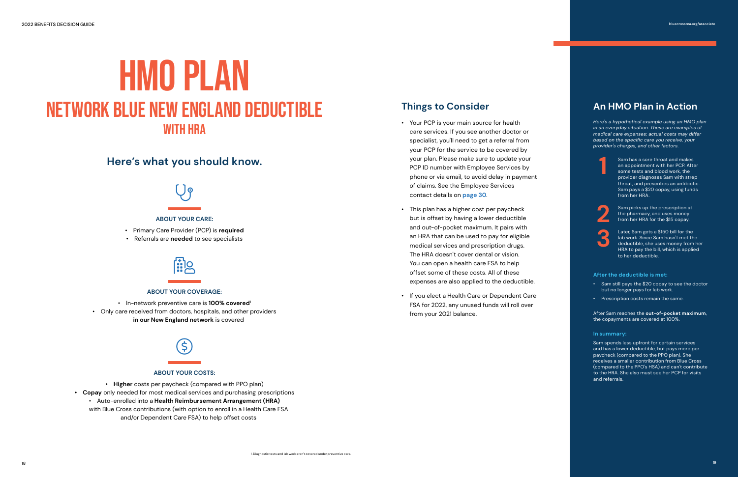# <span id="page-9-0"></span>HMO PLAN NETWORK BLUE NEW ENGLAND DEDUCTIBLE WITH HRA

- Your PCP is your main source for health care services. If you see another doctor or specialist, you'll need to get a referral from your PCP for the service to be covered by your plan. Please make sure to update your PCP ID number with Employee Services by phone or via email, to avoid delay in payment of claims. See the Employee Services contact details on **[page 30](#page-15-0)**.
- This plan has a higher cost per paycheck but is offset by having a lower deductible and out-of-pocket maximum. It pairs with an HRA that can be used to pay for eligible medical services and prescription drugs. The HRA doesn't cover dental or vision. You can open a health care FSA to help offset some of these costs. All of these expenses are also applied to the deductible.
- If you elect a Health Care or Dependent Care FSA for 2022, any unused funds will roll over from your 2021 balance.

# **Things to Consider**

*Here's a hypothetical example using an HMO plan in an everyday situation. These are examples of medical care expenses; actual costs may differ based on the specific care you receive, your provider's charges, and other factors.*





# **An HMO Plan in Action**

**3**

Sam has a sore throat and makes an appointment with her PCP. After some tests and blood work, the provider diagnoses Sam with strep throat, and prescribes an antibiotic. Sam pays a \$20 copay, using funds from her HRA.

Sam picks up the prescription at the pharmacy, and uses money from her HRA for the \$15 copay.

Later, Sam gets a \$150 bill for the lab work. Since Sam hasn't met the deductible, she uses money from her HRA to pay the bill, which is applied to her deductible.

#### **After the deductible is met:**

- Sam still pays the \$20 copay to see the doctor but no longer pays for lab work.
- Prescription costs remain the same.

After Sam reaches the **out-of-pocket maximum**, the copayments are covered at 100%.

#### **In summary:**

Sam spends less upfront for certain services and has a lower deductible, but pays more per paycheck (compared to the PPO plan). She receives a smaller contribution from Blue Cross (compared to the PPO's HSA) and can't contribute to the HRA. She also must see her PCP for visits and referrals.

# **Here's what you should know.**



# **ABOUT YOUR CARE:**

- Primary Care Provider (PCP) is **required**
- Referrals are **needed** to see specialists



### **ABOUT YOUR COVERAGE:**

- In-network preventive care is **100% covered<sup>1</sup>**
- Only care received from doctors, hospitals, and other providers **in our New England network** is covered



### **ABOUT YOUR COSTS:**

- **• Higher** costs per paycheck (compared with PPO plan)
- **• Copay** only needed for most medical services and purchasing prescriptions
	- Auto-enrolled into a **Health Reimbursement Arrangement (HRA)** with Blue Cross contributions (with option to enroll in a Health Care FSA and/or Dependent Care FSA) to help offset costs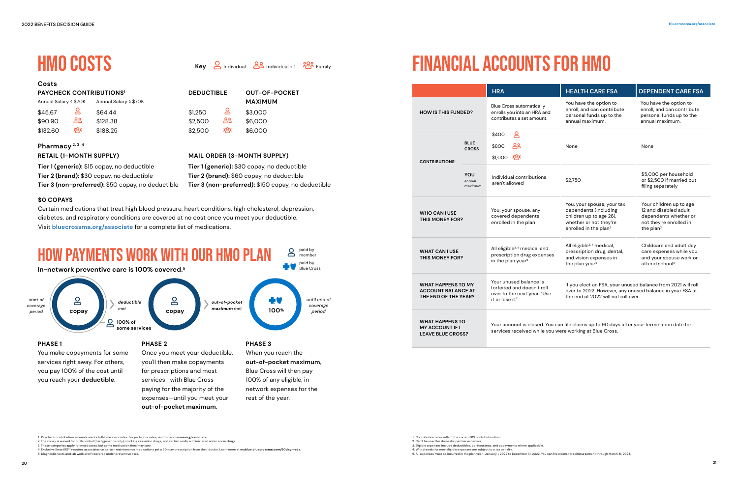# **Pharmacy 2, 3, 4**

# **Costs**

# **RETAIL (1-MONTH SUPPLY)**



**out-of-pocket maximum**.

# <span id="page-10-0"></span>HMO COSTS

**Tier 1 (generic):** \$15 copay, no deductible **Tier 2 (brand):** \$30 copay, no deductible **Tier 3 (non-preferred):** \$50 copay, no deductible

# **Key O** Individual **89** Individual +1 **POP** Family

- 2. The copay is waived for birth control (tier 1/generics only), smoking cessation drugs, and certain orally administered anti-cancer drugs.
- 3. These categories apply for most cases, but some medication tiers may vary.

4. Exclusive Smart90®' requires associates on certain maintenance medications get a 90-day prescription from their doctor. Learn more at **[myblue.bluecrossma.com/90daymeds](http://myblue.bluecrossma.com/90daymeds)**. 5. Diagnostic tests and lab work aren't covered under preventive care.

# **MAIL ORDER (3-MONTH SUPPLY)**

**Tier 1 (generic):** \$30 copay, no deductible **Tier 2 (brand):** \$60 copay, no deductible **Tier 3 (non-preferred):** \$150 copay, no deductible

| <b>PAYCHECK CONTRIBUTIONS<sup>1</sup></b> |     |                       | <b>DEDUCTIBLE</b> |      | <b>OUT-OF-POCKET</b> |
|-------------------------------------------|-----|-----------------------|-------------------|------|----------------------|
| Annual Salary < \$70K                     |     | Annual Salary ≥ \$70K |                   |      | <b>MAXIMUM</b>       |
| \$45.67                                   | ௨   | \$64.44               | \$1,250           | ട്ട  | \$3,000              |
| \$90.90                                   | ക്ട | \$128.38              | \$2,500           | ക്ട  | \$6,000              |
| \$132.60                                  | ၣၛၟ | \$188.25              | \$2,500           | က္ထိ | \$6,000              |

| Annual Salary < \$70K |        | Annual Salary ≥ \$70K |
|-----------------------|--------|-----------------------|
| \$45.67               | ႙ႍ     | \$64.44               |
| \$90.90               | ക്ട    | \$128.38              |
| \$132.60              | ပ္ကာဇ္ | \$188.25              |

|                                                                                                                                                                                 | <b>HRA</b>                                                                                             | <b>HEALTH CARE FSA</b>                                                                                                                                          | <b>DEPENDENT CARE FSA</b>                                                                                                     |
|---------------------------------------------------------------------------------------------------------------------------------------------------------------------------------|--------------------------------------------------------------------------------------------------------|-----------------------------------------------------------------------------------------------------------------------------------------------------------------|-------------------------------------------------------------------------------------------------------------------------------|
| <b>HOW IS THIS FUNDED?</b>                                                                                                                                                      | <b>Blue Cross automatically</b><br>enrolls you into an HRA and<br>contributes a set amount.            | You have the option to<br>enroll, and can contribute<br>personal funds up to the<br>annual maximum.                                                             | You have the option to<br>enroll, and can contribute<br>personal funds up to the<br>annual maximum.                           |
| ക<br>\$400<br><b>BLUE</b><br>\$800<br><b>CROSS</b><br>\$1,000 225<br><b>CONTRIBUTIONS<sup>1</sup></b><br>YOU<br>Individual contributions<br>annual<br>aren't allowed<br>maximum |                                                                                                        | None                                                                                                                                                            | None                                                                                                                          |
|                                                                                                                                                                                 |                                                                                                        | \$2,750                                                                                                                                                         | \$5,000 per household<br>or \$2,500 if married but<br>filing separately                                                       |
| <b>WHO CAN LUSE</b><br><b>THIS MONEY FOR?</b>                                                                                                                                   | You, your spouse, any<br>covered dependents<br>enrolled in the plan                                    | You, your spouse, your tax<br>dependents (including<br>children up to age 26),<br>whether or not they're<br>enrolled in the plan <sup>2</sup>                   | Your children up to age<br>12 and disabled adult<br>dependents whether or<br>not they're enrolled in<br>the plan <sup>2</sup> |
| <b>WHAT CAN I USE</b><br><b>THIS MONEY FOR?</b>                                                                                                                                 | All eligible <sup>3,4</sup> medical and<br>prescription drug expenses<br>in the plan year <sup>5</sup> | All eligible <sup>3,4</sup> medical,<br>prescription drug, dental,<br>and vision expenses in<br>the plan year <sup>5</sup>                                      | Childcare and adult day<br>care expenses while you<br>and your spouse work or<br>attend school <sup>5</sup>                   |
| <b>WHAT HAPPENS TO MY</b><br><b>ACCOUNT BALANCE AT</b><br>THE END OF THE YEAR?                                                                                                  | Your unused balance is<br>forfeited and doesn't roll<br>over to the next year. "Use<br>it or lose it." | If you elect an FSA, your unused balance from 2021 will roll<br>over to 2022. However, any unused balance in your FSA at<br>the end of 2022 will not roll over. |                                                                                                                               |
| <b>WHAT HAPPENS TO</b><br><b>MY ACCOUNT IF I</b><br><b>LEAVE BLUE CROSS?</b>                                                                                                    |                                                                                                        | Your account is closed. You can file claims up to 90 days after your termination date for<br>services received while you were working at Blue Cross.            |                                                                                                                               |

# FINANCIAL ACCOUNTS FOR HMO

2. Can't be used for domestic partner expenses.

3. Eligible expenses include deductibles, co-insurance, and copayments where applicable. 4. Withdrawals for non-eligible expenses are subject to a tax penalty.

5. All expenses must be incurred in the plan year—January 1, 2022 to December 31, 2022. You can file claims for reimbursement through March 31, 2023.

# **\$0 COPAYS**

Certain medications that treat high blood pressure, heart conditions, high cholesterol, depression, diabetes, and respiratory conditions are covered at no cost once you meet your deductible. Visit **[bluecrossma.org/associate](http://bluecrossma.org/associate)** for a complete list of medications.

<sup>1.</sup> Paycheck contribution amounts are for full-time associates. For part-time rates, visit **[bluecrossma.org/associate](http://bluecrossma.org/associate)**.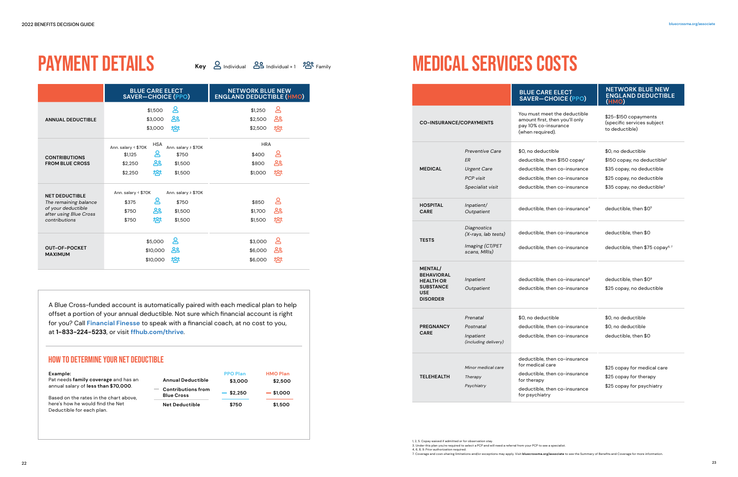# <span id="page-11-0"></span>PAYMENT DETAILS

**Key 2** Individual **89** Individual +1 **<sup>909</sup>** Family

| Example:                                                                       |                                                | <b>PPO Plan</b> | <b>HMO Plan</b> |
|--------------------------------------------------------------------------------|------------------------------------------------|-----------------|-----------------|
| Pat needs family coverage and has an                                           | <b>Annual Deductible</b>                       | \$3,000         | \$2,500         |
| annual salary of less than \$70,000.<br>Based on the rates in the chart above, | <b>Contributions from</b><br><b>Blue Cross</b> | $-$ \$2.250     | $-$ \$1,000     |
| here's how he would find the Net<br>Deductible for each plan.                  | <b>Net Deductible</b>                          | \$750           | \$1,500         |

A Blue Cross-funded account is automatically paired with each medical plan to help offset a portion of your annual deductible. Not sure which financial account is right for you? Call **Financial Finesse** to speak with a financial coach, at no cost to you, at **1-833-224-5233**, or visit **[ffhub.com/thrive](http://ffhub.com/thrive)**.

# HOW TO DETERMINE YOUR NET DEDUCTIBLE

# MEDICAL SERVICES COSTS

|                                                                                                                 | <b>BLUE CARE ELECT</b><br><b>SAVER-CHOICE (PPO)</b>                                                                                          | <b>NETWORK BLUE NEW</b><br><b>ENGLAND DEDUCTIBLE (HMO)</b>  |  |
|-----------------------------------------------------------------------------------------------------------------|----------------------------------------------------------------------------------------------------------------------------------------------|-------------------------------------------------------------|--|
| <b>ANNUAL DEDUCTIBLE</b>                                                                                        | ௨<br>\$1,500<br>ക്ട<br>\$3,000<br>ஜ<br>\$3,000                                                                                               | ≗<br>\$1,250<br>ക്ട<br>\$2,500<br>က္ထိ<br>\$2,500           |  |
| <b>CONTRIBUTIONS</b><br><b>FROM BLUE CROSS</b>                                                                  | <b>HSA</b><br>Ann. salary < \$70K<br>Ann. salary ≥ \$70K<br>≗<br>\$750<br>\$1,125<br>ക്ട<br>\$2,250<br>\$1,500<br>က္ကိ<br>\$2,250<br>\$1,500 | <b>HRA</b><br>≗<br>\$400<br>ക്ട<br>\$800<br>က္ထိ<br>\$1,000 |  |
| <b>NET DEDUCTIBLE</b><br>The remaining balance<br>of your deductible<br>after using Blue Cross<br>contributions | Ann. salary < \$70K<br>Ann. salary ≥ \$70K<br>≗<br>\$375<br>\$750<br>ക്ട<br>\$750<br>\$1,500<br>ஜ<br>\$750<br>\$1,500                        | ౭<br>\$850<br>ക്ട<br>\$1,700<br>က္ထိ<br>\$1,500             |  |
| <b>OUT-OF-POCKET</b><br><b>MAXIMUM</b>                                                                          | ௨<br>\$5,000<br>ക്ട<br>\$10,000<br>က္ကိ<br>\$10,000                                                                                          | ≗<br>\$3,000<br>ക്ട<br>\$6,000<br>က္ထိ<br>\$6,000           |  |

|                                                                                                              |                                                                                            | <b>BLUE CARE ELECT</b><br><b>SAVER-CHOICE (PPO)</b>                                                                                                                | <b>NETWORK BLUE NEW</b><br><b>ENGLAND DEDUCTIBLE</b><br>(HMO)                                                                                                      |
|--------------------------------------------------------------------------------------------------------------|--------------------------------------------------------------------------------------------|--------------------------------------------------------------------------------------------------------------------------------------------------------------------|--------------------------------------------------------------------------------------------------------------------------------------------------------------------|
| <b>CO-INSURANCE/COPAYMENTS</b>                                                                               |                                                                                            | You must meet the deductible<br>amount first, then you'll only<br>pay 10% co-insurance<br>(when required).                                                         | \$25-\$150 copayments<br>(specific services subject<br>to deductible)                                                                                              |
| <b>MEDICAL</b>                                                                                               | <b>Preventive Care</b><br>ER<br><b>Urgent Care</b><br><b>PCP</b> visit<br>Specialist visit | \$0, no deductible<br>deductible, then \$150 copay <sup>1</sup><br>deductible, then co-insurance<br>deductible, then co-insurance<br>deductible, then co-insurance | \$0, no deductible<br>$$150$ copay, no deductible <sup>2</sup><br>\$35 copay, no deductible<br>\$25 copay, no deductible<br>\$35 copay, no deductible <sup>3</sup> |
| <b>HOSPITAL</b><br><b>CARE</b>                                                                               | Inpatient/<br>Outpatient                                                                   | deductible, then co-insurance <sup>4</sup>                                                                                                                         | deductible, then \$0 <sup>5</sup>                                                                                                                                  |
| <b>TESTS</b>                                                                                                 | Diagnostics<br>(X-rays, lab tests)<br>Imaging (CT/PET<br>scans, MRIs)                      | deductible, then co-insurance<br>deductible, then co-insurance                                                                                                     | deductible, then \$0<br>deductible, then \$75 copay <sup>6,7</sup>                                                                                                 |
| <b>MENTAL/</b><br><b>BEHAVIORAL</b><br><b>HEALTH OR</b><br><b>SUBSTANCE</b><br><b>USE</b><br><b>DISORDER</b> | Inpatient<br>Outpatient                                                                    | deductible, then co-insurance <sup>8</sup><br>deductible, then co-insurance                                                                                        | deductible, then \$09<br>\$25 copay, no deductible                                                                                                                 |
| <b>PREGNANCY</b><br><b>CARE</b>                                                                              | Prenatal<br>Postnatal<br>Inpatient<br>(including delivery)                                 | \$0, no deductible<br>deductible, then co-insurance<br>deductible, then co-insurance                                                                               | \$0, no deductible<br>\$0, no deductible<br>deductible, then \$0                                                                                                   |
| <b>TELEHEALTH</b>                                                                                            | Minor medical care<br>Therapy<br>Psychiatry                                                | deductible, then co-insurance<br>for medical care<br>deductible, then co-insurance<br>for therapy<br>deductible, then co-insurance<br>for psychiatry               | \$25 copay for medical care<br>\$25 copay for therapy<br>\$25 copay for psychiatry                                                                                 |

1, 2, 5. Copay waived if admitted or for observation stay. 3. Under this plan you're required to select a PCP and will need a referral from your PCP to see a specialist. 4, 6, 8, 9. Prior authorization required. 7. Coverage and cost-sharing limitations and/or exceptions may apply. Visit **[bluecrossma.org/associate](http://bluecrossma.org/associate)** to see the Summary of Benefits and Coverage for more information.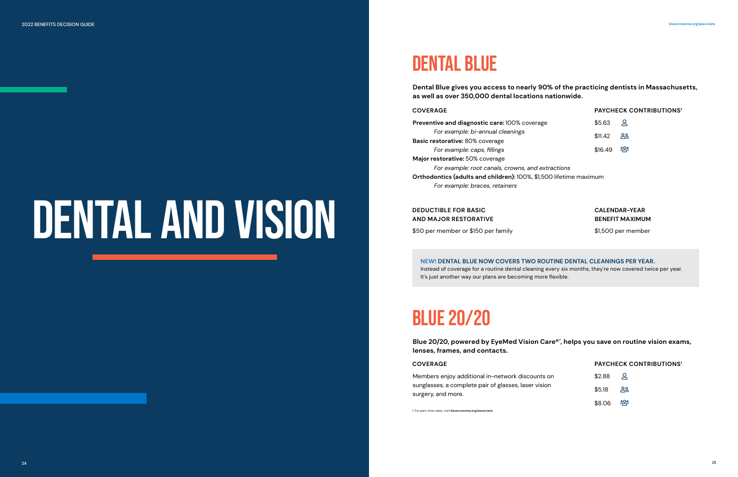# BLUE 20/20

# DENTAL BLUE

# **Dental Blue gives you access to nearly 90% of the practicing dentists in Massachusetts,**

**as well as over 350,000 dental locations nationwide.**

Instead of coverage for a routine dental cleaning every six months, they're now covered twice per year. It's just another way our plans are becoming more flexible.

### **COVERAGE**

### **COVERAGE**

# **DEDUCTIBLE FOR BASIC AND MAJOR RESTORATIVE**

**NEW! DENTAL BLUE NOW COVERS TWO ROUTINE DENTAL CLEANINGS PER YEAR.**

Members enjoy additional in-network discounts sunglasses, a complete pair of glasses, laser visi surgery, and more.

**Preventive and diagnostic care: 100% coverages** *For example: bi-annual cleanings* **Basic restorative:** 80% coverage *For example: caps, fillings* **Major restorative:** 50% coverage *For example: root canals, crowns, and extractions* **Orthodontics (adults and children):** 100%, \$1,500 lifetime maximum *For example: braces, retainers*

\$50 per member or \$150 per family

**PAYCHECK CONTRIBUTIONS<sup>1</sup>**

# **Blue 20/20, powered by EyeMed Vision Care®´, helps you save on routine vision exams,**

**lenses, frames, and contacts.**

| s on | \$2.88 | ൧    |
|------|--------|------|
| ion  | \$5.18 | ക്ട  |
|      | \$8.06 | က္ထိ |

1. For part-time rates, visit **[bluecrossma.org/associate](http://bluecrossma.org/associate)**.

| re | \$5.63  | ്റ്റ  |
|----|---------|-------|
|    | \$11.42 | ് ക്ഷ |
|    | \$16.49 | က္မိ  |

# **PAYCHECK CONTRIBUTIONS<sup>1</sup>**

# **CALENDAR-YEAR BENEFIT MAXIMUM**

\$1,500 per member

<span id="page-12-0"></span>2022 BENEFITS DECISION GUIDE [bluecrossma.org/associate](http://bluecrossma.org/associate)

# DENTAL AND VISION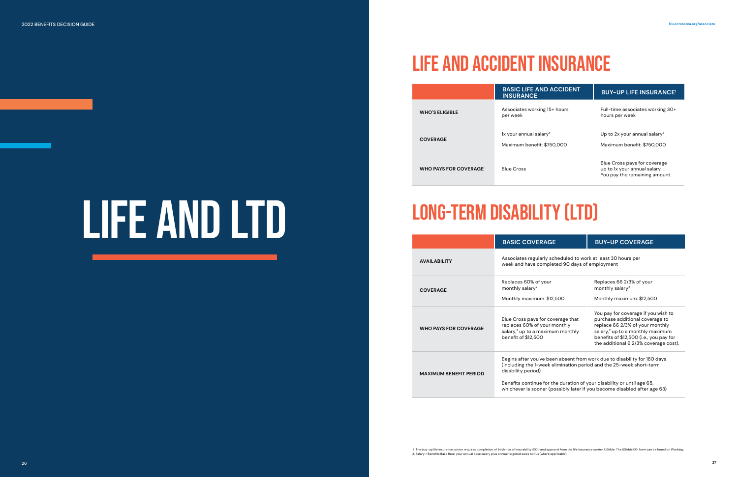|                               | <b>BASIC COVERAGE</b>                                                                                                                                                                                                                                                                                                       | <b>BUY-UP COVERAGE</b>                                                                                                                                                                                                                        |  |
|-------------------------------|-----------------------------------------------------------------------------------------------------------------------------------------------------------------------------------------------------------------------------------------------------------------------------------------------------------------------------|-----------------------------------------------------------------------------------------------------------------------------------------------------------------------------------------------------------------------------------------------|--|
| <b>AVAILABILITY</b>           | Associates regularly scheduled to work at least 30 hours per<br>week and have completed 90 days of employment                                                                                                                                                                                                               |                                                                                                                                                                                                                                               |  |
| <b>COVERAGE</b>               | Replaces 60% of your<br>monthly salary <sup>2</sup><br>Monthly maximum: \$12,500                                                                                                                                                                                                                                            | Replaces 66 2/3% of your<br>monthly salary <sup>2</sup><br>Monthly maximum: \$12,500                                                                                                                                                          |  |
| <b>WHO PAYS FOR COVERAGE</b>  | Blue Cross pays for coverage that<br>replaces 60% of your monthly<br>salary, <sup>2</sup> up to a maximum monthly<br>benefit of \$12,500                                                                                                                                                                                    | You pay for coverage if you wish to<br>purchase additional coverage to<br>replace 66 2/3% of your monthly<br>salary, <sup>2</sup> up to a monthly maximum<br>benefits of \$12,500 (i.e., you pay for<br>the additional 6 2/3% coverage cost). |  |
| <b>MAXIMUM BENEFIT PERIOD</b> | Begins after you've been absent from work due to disability for 180 days<br>(including the 1-week elimination period and the 25-week short-term<br>disability period)<br>Benefits continue for the duration of your disability or until age 65,<br>whichever is sooner (possibly later if you become disabled after age 63) |                                                                                                                                                                                                                                               |  |

# LIFE AND ACCIDENT INSURANCE

|                              | <b>BASIC LIFE AND ACCIDENT</b><br><b>INSURANCE</b>               | <b>BUY-UP LIFE INSURANCE<sup>1</sup></b>                                                      |
|------------------------------|------------------------------------------------------------------|-----------------------------------------------------------------------------------------------|
| <b>WHO'S ELIGIBLE</b>        | Associates working 15+ hours<br>per week                         | Full-time associates working 30+<br>hours per week                                            |
| <b>COVERAGE</b>              | 1x your annual salary <sup>2</sup><br>Maximum benefit: \$750,000 | Up to 2x your annual salary <sup>2</sup><br>Maximum benefit: \$750,000                        |
| <b>WHO PAYS FOR COVERAGE</b> | <b>Blue Cross</b>                                                | Blue Cross pays for coverage<br>up to 1x your annual salary.<br>You pay the remaining amount. |

# LONG-TERM DISABILITY (LTD)

<span id="page-13-0"></span>2022 BENEFITS DECISION GUIDE [bluecrossma.org/associate](http://bluecrossma.org/associate)

# LIFE AND LTD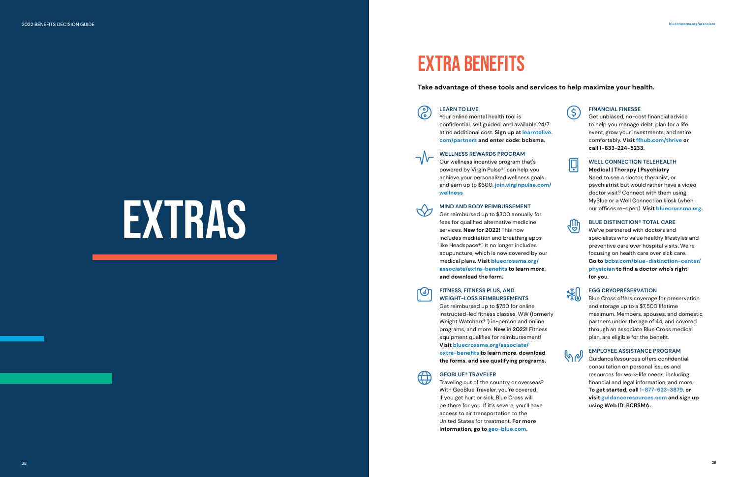# EXTRA BENEFITS

# **Take advantage of these tools and services to help maximize your health.**











# <span id="page-14-0"></span>EXTRAS!

**CONGERARN TO LIVE**<br>
Your online mental health tool is confidential, self guided, and available 24/7 at no additional cost. **Sign up at [learntolive.](http://learntolive.com/partners) [com/partners](http://learntolive.com/partners) and enter code: bcbsma.**

### **WELLNESS REWARDS PROGRAM**

Our wellness incentive program that's powered by Virgin Pulse®´ can help you achieve your personalized wellness goals and earn up to \$600. **[join.virginpulse.com/](http://join.virginpulse.com/wellness) [wellness](http://join.virginpulse.com/wellness)**

#### **MIND AND BODY REIMBURSEMENT**

Get reimbursed up to \$300 annually for fees for qualified alternative medicine services. **New for 2022!** This now includes meditation and breathing apps like Headspace®´. It no longer includes acupuncture, which is now covered by our medical plans. **Visit [bluecrossma.org/](http://bluecrossma.org/associate/extra-benefits) [associate/extra-benefits](http://bluecrossma.org/associate/extra-benefits) to learn more, and download the form.**

**G**<br>Get unbiased, no-cost financial advice to help you manage debt, plan for a life event, grow your investments, and retire comfortably. **Visit [ffhub.com/thrive](http://ffhub.com/thrive) or call 1-833-224-5233.**

# WELL CONNECTION TELEHEALTH<br>Medical | Therapy | Psychiatry

# WEIGHT **FITNESS, FITNESS PLUS, AND WEIGHT-LOSS REIMBURSEMENTS**

Get reimbursed up to \$750 for online, instructed-led fitness classes, WW (formerly Weight Watchers®´) in-person and online programs, and more. **New in 2022!** Fitness equipment qualifies for reimbursement! **Visit [bluecrossma.org/associate/](http://bluecrossma.org/associate/ extra-benefits) [extra-benefits](http://bluecrossma.org/associate/ extra-benefits) to learn more, download the forms, and see qualifying programs.**



# **GEOBLUE® TRAVELER**<br>Traveling out of the cou

**TEMPERATION<br>THE Blue Cross offers coverage for preservation** and storage up to a \$7,500 lifetime maximum. Members, spouses, and domestic partners under the age of 44, and covered through an associate Blue Cross medical plan, are eligible for the benefit.

# EMPLOYEE ASSISTANCE PROGRAM<br>Guidance Resources offers confident

Traveling out of the country or overseas? With GeoBlue Traveler, you're covered. If you get hurt or sick, Blue Cross will be there for you. If it's severe, you'll have access to air transportation to the United States for treatment. **For more information, go to [geo-blue.com.](http://geo-blue.com)**

### **Medical | Therapy | Psychiatry**

Need to see a doctor, therapist, or psychiatrist but would rather have a video doctor visit? Connect with them using MyBlue or a Well Connection kiosk (when our offices re-open). **Visit [bluecrossma.org](http://bluecrossma.org).**

**Handburg BLUE DISTINCTION® TOTAL CARE**<br>We've partnered with doctors and

We've partnered with doctors and specialists who value healthy lifestyles and preventive care over hospital visits. We're focusing on health care over sick care. **Go to [bcbs.com/blue-distinction-center/](http://bcbs.com/blue-distinction-center/physician) [physician](http://bcbs.com/blue-distinction-center/physician) to find a doctor who's right for you**.

GuidanceResources offers confidential consultation on personal issues and resources for work-life needs, including financial and legal information, and more. **To get started, call 1-877-623-3879, or visit [guidanceresources.com](http://guidanceresources.com) and sign up using Web ID: BCBSMA.**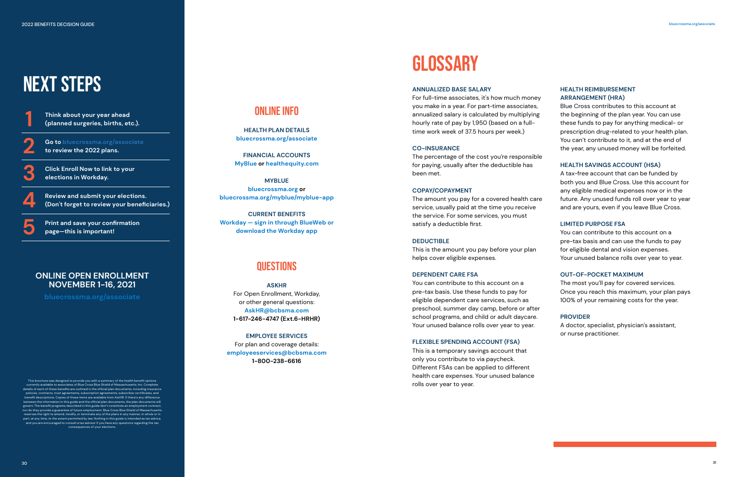**1 Think about your year ahead (planned surgeries, births, etc.).**

**2 Go to [bluecrossma.org/associate](http://bluecrossma.org/associate) to review the 2022 plans.**

**3 Click Enroll Now to link to your elections in Workday.**

**4 Review and submit your elections. (Don't forget to review your beneficiaries.)**

**5 Print and save your confirmation page—this is important!**

# <span id="page-15-0"></span>NEXT STEPS

### **ANNUALIZED BASE SALARY**

For full-time associates, it's how much money you make in a year. For part-time associates, annualized salary is calculated by multiplying hourly rate of pay by 1,950 (based on a fulltime work week of 37.5 hours per week.)

#### **CO-INSURANCE**

The percentage of the cost you're responsible for paying, usually after the deductible has been met.

#### **COPAY/COPAYMENT**

The amount you pay for a covered health care service, usually paid at the time you receive the service. For some services, you must satisfy a deductible first.

### **DEDUCTIBLE**

This is the amount you pay before your plan helps cover eligible expenses.

## **DEPENDENT CARE FSA**

You can contribute to this account on a pre-tax basis. Use these funds to pay for eligible dependent care services, such as preschool, summer day camp, before or after school programs, and child or adult daycare. Your unused balance rolls over year to year.

### **FLEXIBLE SPENDING ACCOUNT (FSA)**

This is a temporary savings account that only you contribute to via paycheck. Different FSAs can be applied to different health care expenses. Your unused balance rolls over year to year.

# **HEALTH REIMBURSEMENT ARRANGEMENT (HRA)**

Blue Cross contributes to this account at the beginning of the plan year. You can use these funds to pay for anything medical- or prescription drug-related to your health plan. You can't contribute to it, and at the end of the year, any unused money will be forfeited.

## **HEALTH SAVINGS ACCOUNT (HSA)**

A tax-free account that can be funded by both you and Blue Cross. Use this account for any eligible medical expenses now or in the future. Any unused funds roll over year to year and are yours, even if you leave Blue Cross.

This brochure was designed to provide you with a summary of the health benefit options<br>currently available to associates of Blue Cross Blue Shield of Massachusetts, Inc. Complete<br>details of each of these benefits are outli policies, contracts, trust agreements, subscription agreements, subscriber certificates, and benefit descriptions. Copies of these items are available from AskHR. If there's any difference mation in this guide and the official plan documents, the plan docu govern. The benefit programs described in this guide don't constitute an employment contract, nor do they provide a guarantee of future employment. Blue Cross Blue Shield of Massachusetts reserves the right to amend, modify, or terminate any of the plans in any manner, in whole or in part, at any time, to the extent permitted by law. Nothing in this guide is intended as tax advice, and you are encouraged to consult a tax advisor if you have any questions regarding the tax consequences of your elections.

# **LIMITED PURPOSE FSA**

You can contribute to this account on a pre-tax basis and can use the funds to pay for eligible dental and vision expenses. Your unused balance rolls over year to year.

# **OUT-OF-POCKET MAXIMUM**

The most you'll pay for covered services. Once you reach this maximum, your plan pays 100% of your remaining costs for the year.

### **PROVIDER**

A doctor, specialist, physician's assistant, or nurse practitioner.

# ONLINE INFO

**HEALTH PLAN DETAILS [bluecrossma.org/associate](http://bluecrossma.org/associate)**

**FINANCIAL ACCOUNTS MyBlue or [healthequity.com](http://healthequity.com)**

**MYBLUE [bluecrossma.org](http://bluecrossma.org) or [bluecrossma.org/myblue/myblue-app](http://bluecrossma.org/myblue/myblue-app)**

**CURRENT BENEFITS Workday — sign in through BlueWeb or download the Workday app**

# **QUESTIONS**

**ASKHR** For Open Enrollment, Workday, or other general questions: **[AskHR@bcbsma.com](mailto:AskHR%40bcbsma.com?subject=) 1-617-246-4747 (Ext.6-HRHR)** 

**EMPLOYEE SERVICES** For plan and coverage details: **[employeeservices@bcbsma.com](http://employeeservices@bcbsma.com) 1-800-238-6616**

# **GLOSSARY**

# **ONLINE OPEN ENROLLMENT NOVEMBER 1-16, 2021**

**[bluecrossma.org/associate](http://bluecrossma.org/associate)**